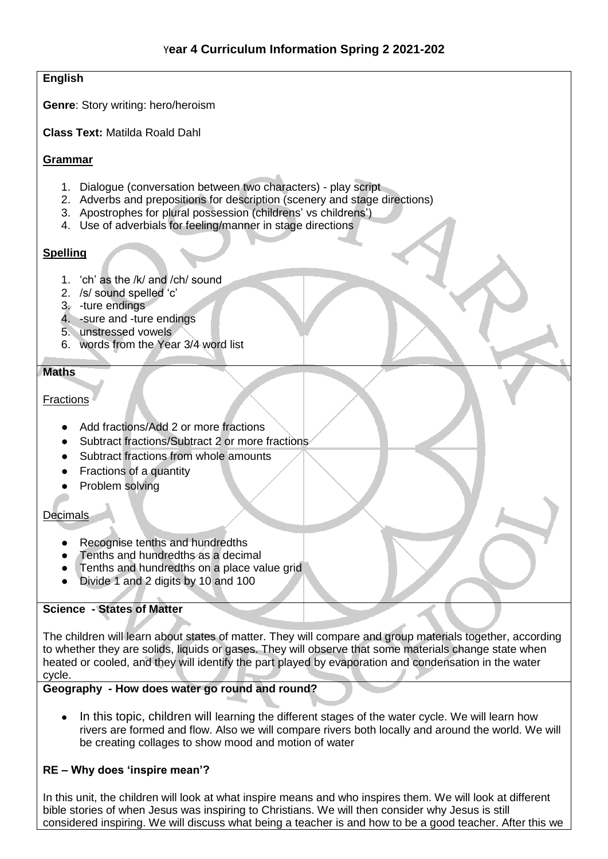#### **English**

**Genre**: Story writing: hero/heroism

**Class Text:** Matilda Roald Dahl

#### **Grammar**

- 1. Dialogue (conversation between two characters) play script
- 2. Adverbs and prepositions for description (scenery and stage directions)
- 3. Apostrophes for plural possession (childrens' vs childrens')
- 4. Use of adverbials for feeling/manner in stage directions

## **Spelling**

- 1. 'ch' as the /k/ and /ch/ sound
- 2. /s/ sound spelled 'c'
- 3. -ture endings
- 4. -sure and -ture endings
- 5. unstressed vowels
- 6. words from the Year 3/4 word list

## **Maths**

## Fractions

- Add fractions/Add 2 or more fractions
- Subtract fractions/Subtract 2 or more fractions
- Subtract fractions from whole amounts
- Fractions of a quantity
- Problem solving

## Decimals

- Recognise tenths and hundredths
- Tenths and hundredths as a decimal
- Tenths and hundredths on a place value grid
- Divide 1 and 2 digits by 10 and 100

## **Science - States of Matter**

The children will learn about states of matter. They will compare and group materials together, according to whether they are solids, liquids or gases. They will observe that some materials change state when heated or cooled, and they will identify the part played by evaporation and condensation in the water cycle.

## **Geography - How does water go round and round?**

In this topic, children will learning the different stages of the water cycle. We will learn how rivers are formed and flow. Also we will compare rivers both locally and around the world. We will be creating collages to show mood and motion of water

## **RE – Why does 'inspire mean'?**

In this unit, the children will look at what inspire means and who inspires them. We will look at different bible stories of when Jesus was inspiring to Christians. We will then consider why Jesus is still considered inspiring. We will discuss what being a teacher is and how to be a good teacher. After this we